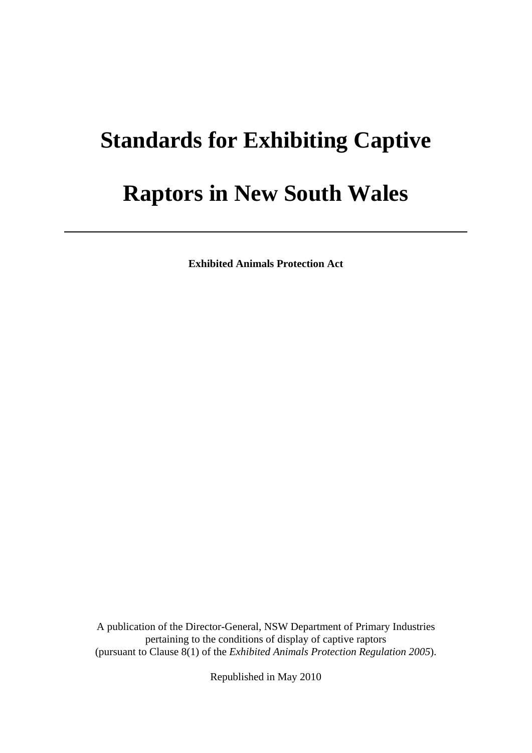# **Standards for Exhibiting Captive**

# **Raptors in New South Wales**

**Exhibited Animals Protection Act** 

 A publication of the Director-General, NSW Department of Primary Industries pertaining to the conditions of display of captive raptors (pursuant to Clause 8(1) of the *Exhibited Animals Protection Regulation 2005*).

Republished in May 2010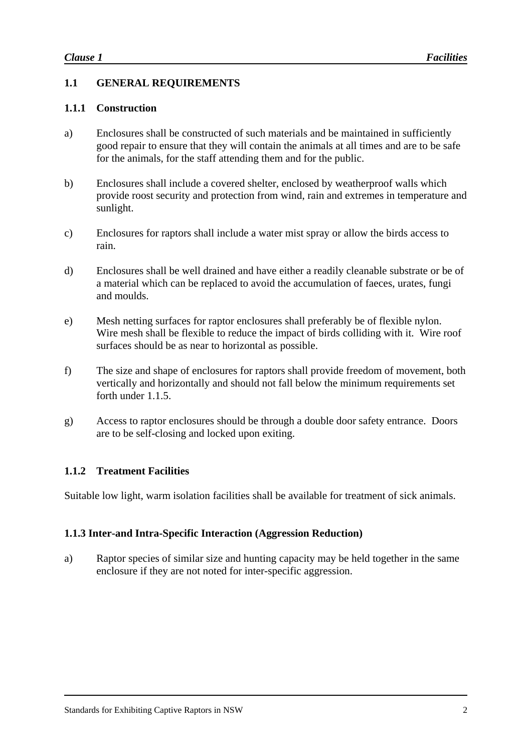# **1.1 GENERAL REQUIREMENTS**

#### **1.1.1 Construction**

- a) Enclosures shall be constructed of such materials and be maintained in sufficiently good repair to ensure that they will contain the animals at all times and are to be safe for the animals, for the staff attending them and for the public.
- b) Enclosures shall include a covered shelter, enclosed by weatherproof walls which provide roost security and protection from wind, rain and extremes in temperature and sunlight.
- c) Enclosures for raptors shall include a water mist spray or allow the birds access to rain.
- d) Enclosures shall be well drained and have either a readily cleanable substrate or be of a material which can be replaced to avoid the accumulation of faeces, urates, fungi and moulds.
- e) Mesh netting surfaces for raptor enclosures shall preferably be of flexible nylon. Wire mesh shall be flexible to reduce the impact of birds colliding with it. Wire roof surfaces should be as near to horizontal as possible.
- f) The size and shape of enclosures for raptors shall provide freedom of movement, both vertically and horizontally and should not fall below the minimum requirements set forth under 1.1.5.
- g) Access to raptor enclosures should be through a double door safety entrance. Doors are to be self-closing and locked upon exiting.

### **1.1.2 Treatment Facilities**

Suitable low light, warm isolation facilities shall be available for treatment of sick animals.

### **1.1.3 Inter-and Intra-Specific Interaction (Aggression Reduction)**

a) Raptor species of similar size and hunting capacity may be held together in the same enclosure if they are not noted for inter-specific aggression.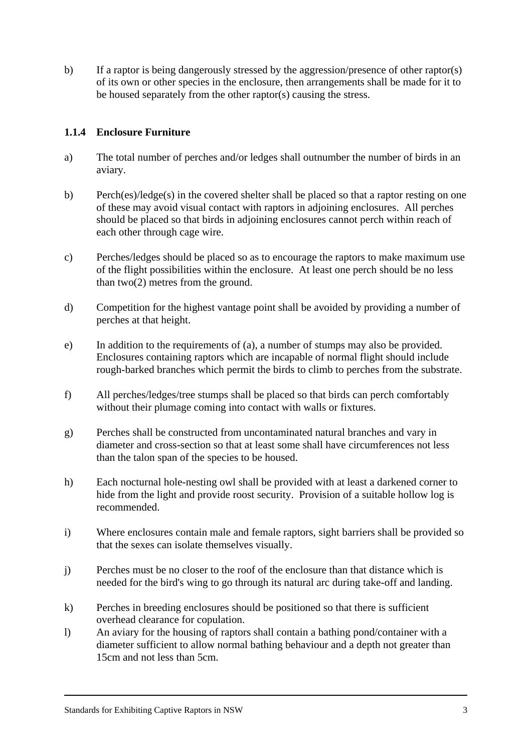b) If a raptor is being dangerously stressed by the aggression/presence of other raptor(s) of its own or other species in the enclosure, then arrangements shall be made for it to be housed separately from the other raptor(s) causing the stress.

# **1.1.4 Enclosure Furniture**

- a) The total number of perches and/or ledges shall outnumber the number of birds in an aviary.
- b) Perch(es)/ledge(s) in the covered shelter shall be placed so that a raptor resting on one of these may avoid visual contact with raptors in adjoining enclosures. All perches should be placed so that birds in adjoining enclosures cannot perch within reach of each other through cage wire.
- c) Perches/ledges should be placed so as to encourage the raptors to make maximum use of the flight possibilities within the enclosure. At least one perch should be no less than two(2) metres from the ground.
- d) Competition for the highest vantage point shall be avoided by providing a number of perches at that height.
- e) In addition to the requirements of (a), a number of stumps may also be provided. Enclosures containing raptors which are incapable of normal flight should include rough-barked branches which permit the birds to climb to perches from the substrate.
- f) All perches/ledges/tree stumps shall be placed so that birds can perch comfortably without their plumage coming into contact with walls or fixtures.
- g) Perches shall be constructed from uncontaminated natural branches and vary in diameter and cross-section so that at least some shall have circumferences not less than the talon span of the species to be housed.
- h) Each nocturnal hole-nesting owl shall be provided with at least a darkened corner to hide from the light and provide roost security. Provision of a suitable hollow log is recommended.
- i) Where enclosures contain male and female raptors, sight barriers shall be provided so that the sexes can isolate themselves visually.
- j) Perches must be no closer to the roof of the enclosure than that distance which is needed for the bird's wing to go through its natural arc during take-off and landing.
- k) Perches in breeding enclosures should be positioned so that there is sufficient overhead clearance for copulation.
- l) An aviary for the housing of raptors shall contain a bathing pond/container with a diameter sufficient to allow normal bathing behaviour and a depth not greater than 15cm and not less than 5cm.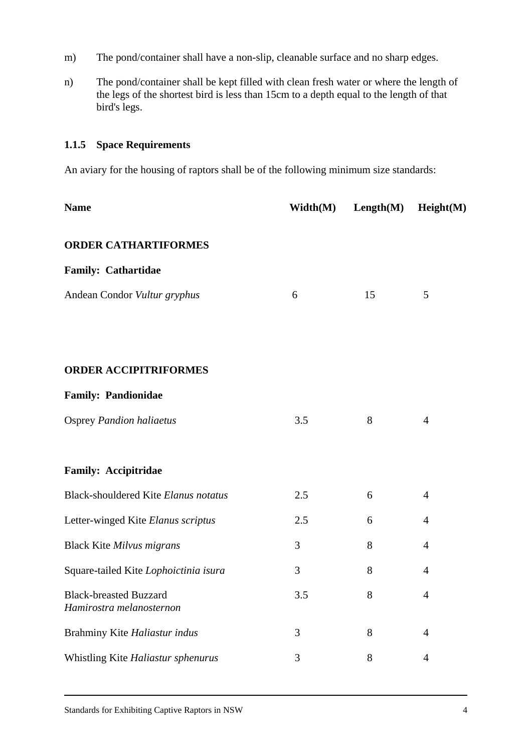- m) The pond/container shall have a non-slip, cleanable surface and no sharp edges.
- n) The pond/container shall be kept filled with clean fresh water or where the length of the legs of the shortest bird is less than 15cm to a depth equal to the length of that bird's legs.

# **1.1.5 Space Requirements**

An aviary for the housing of raptors shall be of the following minimum size standards:

| <b>Name</b>                                               | Width(M) | Length(M) | Height(M)      |
|-----------------------------------------------------------|----------|-----------|----------------|
| <b>ORDER CATHARTIFORMES</b>                               |          |           |                |
| <b>Family: Cathartidae</b>                                |          |           |                |
| Andean Condor Vultur gryphus                              | 6        | 15        | 5              |
|                                                           |          |           |                |
|                                                           |          |           |                |
| <b>ORDER ACCIPITRIFORMES</b>                              |          |           |                |
| <b>Family: Pandionidae</b>                                |          |           |                |
| <b>Osprey Pandion haliaetus</b>                           | 3.5      | 8         | $\overline{4}$ |
|                                                           |          |           |                |
| <b>Family: Accipitridae</b>                               |          |           |                |
| Black-shouldered Kite Elanus notatus                      | 2.5      | 6         | $\overline{4}$ |
| Letter-winged Kite Elanus scriptus                        | 2.5      | 6         | $\overline{4}$ |
| <b>Black Kite Milvus migrans</b>                          | 3        | 8         | $\overline{4}$ |
| Square-tailed Kite Lophoictinia isura                     | 3        | 8         | $\overline{4}$ |
| <b>Black-breasted Buzzard</b><br>Hamirostra melanosternon | 3.5      | 8         | $\overline{4}$ |
| Brahminy Kite Haliastur indus                             | 3        | 8         | $\overline{4}$ |
| Whistling Kite Haliastur sphenurus                        | 3        | 8         | $\overline{4}$ |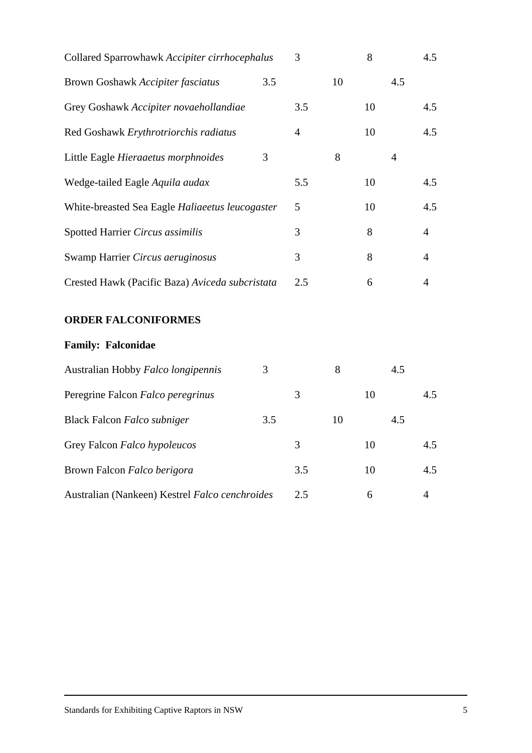| Collared Sparrowhawk Accipiter cirrhocephalus   |     | 3   |    | 8  |     | 4.5 |
|-------------------------------------------------|-----|-----|----|----|-----|-----|
| Brown Goshawk Accipiter fasciatus               | 3.5 |     | 10 |    | 4.5 |     |
| Grey Goshawk Accipiter novaehollandiae          |     | 3.5 |    | 10 |     | 4.5 |
| Red Goshawk Erythrotriorchis radiatus           |     | 4   |    | 10 |     | 4.5 |
| Little Eagle Hieraaetus morphnoides             | 3   |     | 8  |    | 4   |     |
| Wedge-tailed Eagle Aquila audax                 |     | 5.5 |    | 10 |     | 4.5 |
| White-breasted Sea Eagle Haliaeetus leucogaster |     | 5   |    | 10 |     | 4.5 |
| Spotted Harrier Circus assimilis                |     | 3   |    | 8  |     | 4   |
| Swamp Harrier Circus aeruginosus                |     | 3   |    | 8  |     | 4   |
| Crested Hawk (Pacific Baza) Aviceda subcristata |     | 2.5 |    | 6  |     | 4   |
|                                                 |     |     |    |    |     |     |

# **ORDER FALCONIFORMES**

| Australian Hobby Falco longipennis             | 3   |     | 8  |    | 4.5 |     |
|------------------------------------------------|-----|-----|----|----|-----|-----|
| Peregrine Falcon Falco peregrinus              |     | 3   |    | 10 |     | 4.5 |
| Black Falcon Falco subniger                    | 3.5 |     | 10 |    | 4.5 |     |
| Grey Falcon Falco hypoleucos                   |     | 3   |    | 10 |     | 4.5 |
| Brown Falcon Falco berigora                    |     | 3.5 |    | 10 |     | 4.5 |
| Australian (Nankeen) Kestrel Falco cenchroides |     | 2.5 |    | 6  |     | 4   |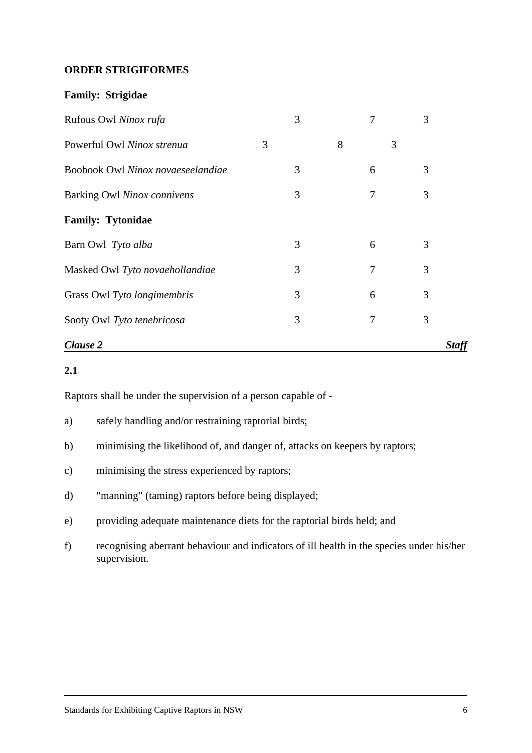#### **ORDER STRIGIFORMES**

#### **Family: Strigidae**

| Rufous Owl Ninox rufa             |   | 3 |   | 7 | 3            |  |
|-----------------------------------|---|---|---|---|--------------|--|
| Powerful Owl Ninox strenua        | 3 |   | 8 |   | 3            |  |
| Boobook Owl Ninox novaeseelandiae |   | 3 |   | 6 | 3            |  |
| Barking Owl Ninox connivens       |   | 3 |   | 7 | 3            |  |
| <b>Family: Tytonidae</b>          |   |   |   |   |              |  |
| Barn Owl Tyto alba                |   | 3 |   | 6 | 3            |  |
| Masked Owl Tyto novaehollandiae   |   | 3 |   | 7 | 3            |  |
| Grass Owl Tyto longimembris       |   | 3 |   | 6 | 3            |  |
| Sooty Owl Tyto tenebricosa        |   | 3 |   | 7 | 3            |  |
| Clause 2                          |   |   |   |   | <b>Staff</b> |  |

# **2.1**

Raptors shall be under the supervision of a person capable of -

- a) safely handling and/or restraining raptorial birds;
- b) minimising the likelihood of, and danger of, attacks on keepers by raptors;
- c) minimising the stress experienced by raptors;
- d) "manning" (taming) raptors before being displayed;
- e) providing adequate maintenance diets for the raptorial birds held; and
- f) recognising aberrant behaviour and indicators of ill health in the species under his/her supervision.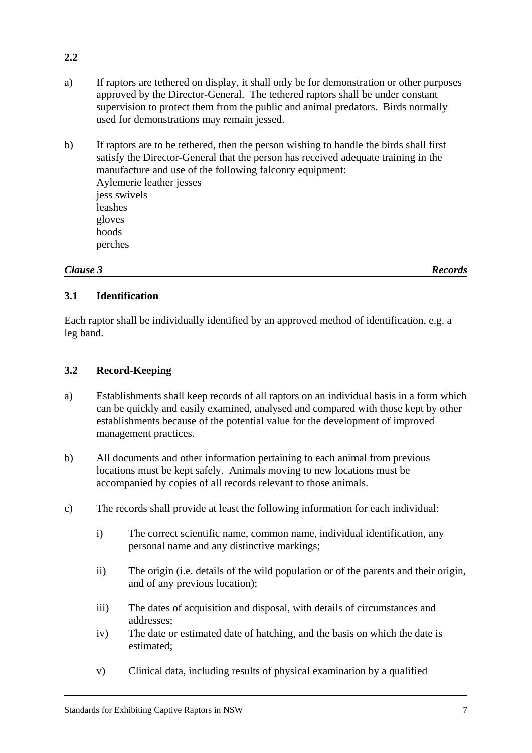- a) If raptors are tethered on display, it shall only be for demonstration or other purposes approved by the Director-General. The tethered raptors shall be under constant supervision to protect them from the public and animal predators. Birds normally used for demonstrations may remain jessed.
- b) If raptors are to be tethered, then the person wishing to handle the birds shall first satisfy the Director-General that the person has received adequate training in the manufacture and use of the following falconry equipment: Aylemerie leather jesses jess swivels leashes gloves hoods perches

### *Clause 3 Records*

**2.2**

### **3.1 Identification**

Each raptor shall be individually identified by an approved method of identification, e.g. a leg band.

### **3.2 Record-Keeping**

- a) Establishments shall keep records of all raptors on an individual basis in a form which can be quickly and easily examined, analysed and compared with those kept by other establishments because of the potential value for the development of improved management practices.
- b) All documents and other information pertaining to each animal from previous locations must be kept safely. Animals moving to new locations must be accompanied by copies of all records relevant to those animals.
- c) The records shall provide at least the following information for each individual:
	- i) The correct scientific name, common name, individual identification, any personal name and any distinctive markings;
	- ii) The origin (i.e. details of the wild population or of the parents and their origin, and of any previous location);
	- iii) The dates of acquisition and disposal, with details of circumstances and addresses;
	- iv) The date or estimated date of hatching, and the basis on which the date is estimated;
	- v) Clinical data, including results of physical examination by a qualified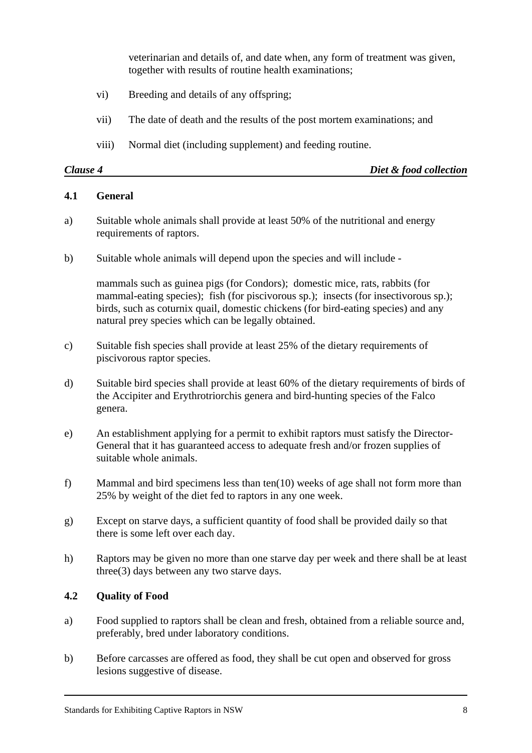veterinarian and details of, and date when, any form of treatment was given, together with results of routine health examinations;

- vi) Breeding and details of any offspring;
- vii) The date of death and the results of the post mortem examinations; and
- viii) Normal diet (including supplement) and feeding routine.

| Clause 4 | Diet & food collection |
|----------|------------------------|
|          |                        |

#### **4.1 General**

- a) Suitable whole animals shall provide at least 50% of the nutritional and energy requirements of raptors.
- b) Suitable whole animals will depend upon the species and will include -

mammals such as guinea pigs (for Condors); domestic mice, rats, rabbits (for mammal-eating species); fish (for piscivorous sp.); insects (for insectivorous sp.); birds, such as coturnix quail, domestic chickens (for bird-eating species) and any natural prey species which can be legally obtained.

- c) Suitable fish species shall provide at least 25% of the dietary requirements of piscivorous raptor species.
- d) Suitable bird species shall provide at least 60% of the dietary requirements of birds of the Accipiter and Erythrotriorchis genera and bird-hunting species of the Falco genera.
- e) An establishment applying for a permit to exhibit raptors must satisfy the Director-General that it has guaranteed access to adequate fresh and/or frozen supplies of suitable whole animals.
- f) Mammal and bird specimens less than ten(10) weeks of age shall not form more than 25% by weight of the diet fed to raptors in any one week.
- g) Except on starve days, a sufficient quantity of food shall be provided daily so that there is some left over each day.
- h) Raptors may be given no more than one starve day per week and there shall be at least three(3) days between any two starve days.

#### **4.2 Quality of Food**

- a) Food supplied to raptors shall be clean and fresh, obtained from a reliable source and, preferably, bred under laboratory conditions.
- b) Before carcasses are offered as food, they shall be cut open and observed for gross lesions suggestive of disease.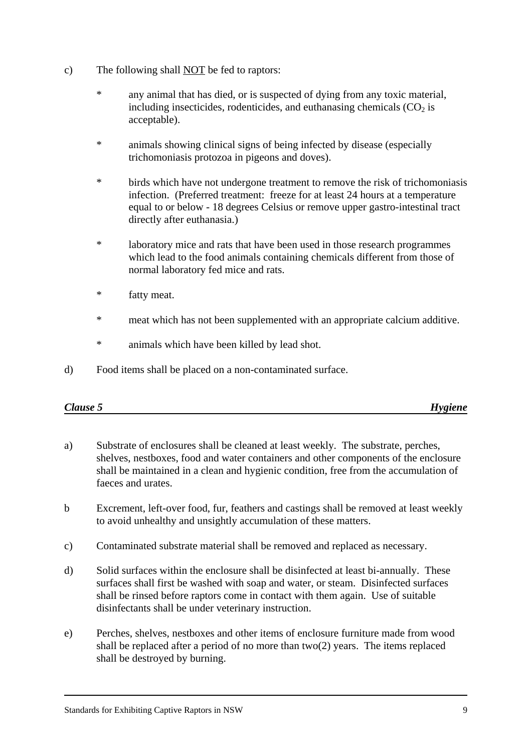- c) The following shall NOT be fed to raptors:
	- any animal that has died, or is suspected of dying from any toxic material, including insecticides, rodenticides, and euthanasing chemicals  $(CO<sub>2</sub>)$  is acceptable).
	- \* animals showing clinical signs of being infected by disease (especially trichomoniasis protozoa in pigeons and doves).
	- \* birds which have not undergone treatment to remove the risk of trichomoniasis infection. (Preferred treatment: freeze for at least 24 hours at a temperature equal to or below - 18 degrees Celsius or remove upper gastro-intestinal tract directly after euthanasia.)
	- \* laboratory mice and rats that have been used in those research programmes which lead to the food animals containing chemicals different from those of normal laboratory fed mice and rats.
	- \* fatty meat.
	- \* meat which has not been supplemented with an appropriate calcium additive.
	- \* animals which have been killed by lead shot.
- d) Food items shall be placed on a non-contaminated surface.

| Clause 5 | <i><b>Hygiene</b></i><br>-- |
|----------|-----------------------------|
|          |                             |

- a) Substrate of enclosures shall be cleaned at least weekly. The substrate, perches, shelves, nestboxes, food and water containers and other components of the enclosure shall be maintained in a clean and hygienic condition, free from the accumulation of faeces and urates.
- b Excrement, left-over food, fur, feathers and castings shall be removed at least weekly to avoid unhealthy and unsightly accumulation of these matters.
- c) Contaminated substrate material shall be removed and replaced as necessary.
- d) Solid surfaces within the enclosure shall be disinfected at least bi-annually. These surfaces shall first be washed with soap and water, or steam. Disinfected surfaces shall be rinsed before raptors come in contact with them again. Use of suitable disinfectants shall be under veterinary instruction.
- e) Perches, shelves, nestboxes and other items of enclosure furniture made from wood shall be replaced after a period of no more than two(2) years. The items replaced shall be destroyed by burning.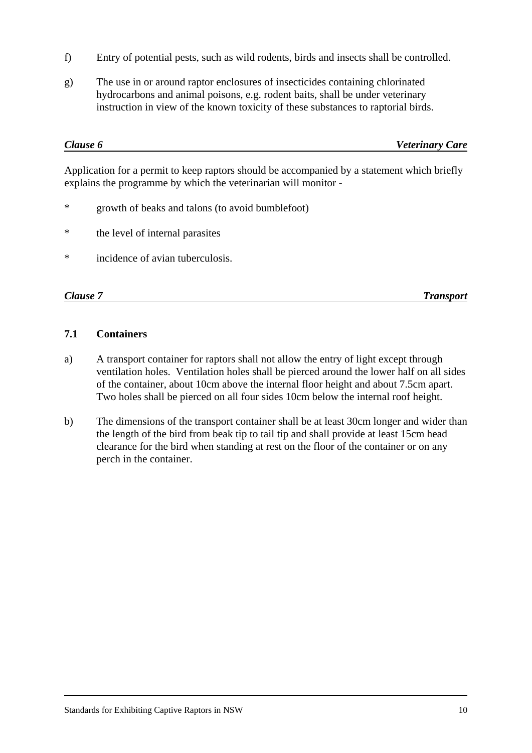- f) Entry of potential pests, such as wild rodents, birds and insects shall be controlled.
- g) The use in or around raptor enclosures of insecticides containing chlorinated hydrocarbons and animal poisons, e.g. rodent baits, shall be under veterinary instruction in view of the known toxicity of these substances to raptorial birds.

| Clause 6 | <b>Veterinary Care</b> |
|----------|------------------------|
|          |                        |

Application for a permit to keep raptors should be accompanied by a statement which briefly explains the programme by which the veterinarian will monitor -

- \* growth of beaks and talons (to avoid bumblefoot)
- \* the level of internal parasites
- \* incidence of avian tuberculosis.

*Clause 7 Transport*

# **7.1 Containers**

- a) A transport container for raptors shall not allow the entry of light except through ventilation holes. Ventilation holes shall be pierced around the lower half on all sides of the container, about 10cm above the internal floor height and about 7.5cm apart. Two holes shall be pierced on all four sides 10cm below the internal roof height.
- b) The dimensions of the transport container shall be at least 30cm longer and wider than the length of the bird from beak tip to tail tip and shall provide at least 15cm head clearance for the bird when standing at rest on the floor of the container or on any perch in the container.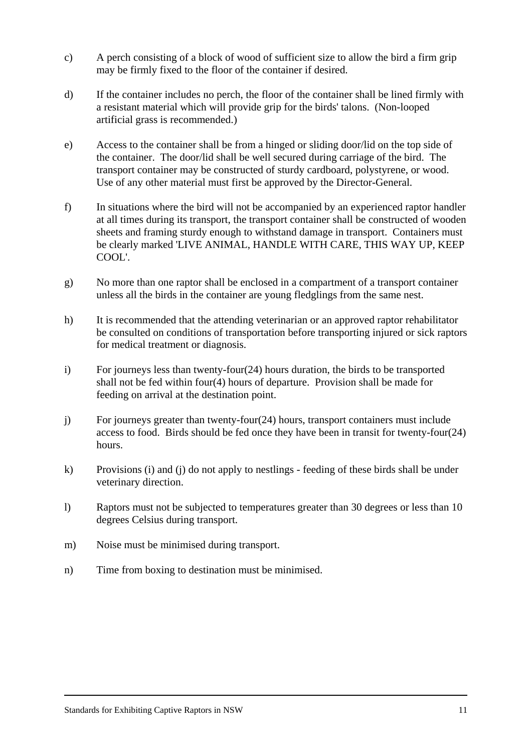- c) A perch consisting of a block of wood of sufficient size to allow the bird a firm grip may be firmly fixed to the floor of the container if desired.
- d) If the container includes no perch, the floor of the container shall be lined firmly with a resistant material which will provide grip for the birds' talons. (Non-looped artificial grass is recommended.)
- e) Access to the container shall be from a hinged or sliding door/lid on the top side of the container. The door/lid shall be well secured during carriage of the bird. The transport container may be constructed of sturdy cardboard, polystyrene, or wood. Use of any other material must first be approved by the Director-General.
- f) In situations where the bird will not be accompanied by an experienced raptor handler at all times during its transport, the transport container shall be constructed of wooden sheets and framing sturdy enough to withstand damage in transport. Containers must be clearly marked 'LIVE ANIMAL, HANDLE WITH CARE, THIS WAY UP, KEEP COOL'.
- g) No more than one raptor shall be enclosed in a compartment of a transport container unless all the birds in the container are young fledglings from the same nest.
- h) It is recommended that the attending veterinarian or an approved raptor rehabilitator be consulted on conditions of transportation before transporting injured or sick raptors for medical treatment or diagnosis.
- i) For journeys less than twenty-four(24) hours duration, the birds to be transported shall not be fed within four(4) hours of departure. Provision shall be made for feeding on arrival at the destination point.
- j) For journeys greater than twenty-four(24) hours, transport containers must include access to food. Birds should be fed once they have been in transit for twenty-four(24) hours.
- k) Provisions (i) and (j) do not apply to nestlings feeding of these birds shall be under veterinary direction.
- l) Raptors must not be subjected to temperatures greater than 30 degrees or less than 10 degrees Celsius during transport.
- m) Noise must be minimised during transport.
- n) Time from boxing to destination must be minimised.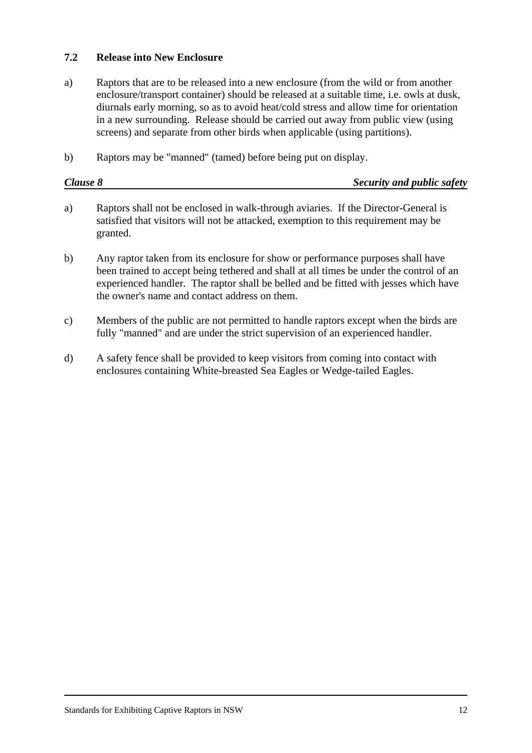### **7.2 Release into New Enclosure**

- a) Raptors that are to be released into a new enclosure (from the wild or from another enclosure/transport container) should be released at a suitable time, i.e. owls at dusk, diurnals early morning, so as to avoid heat/cold stress and allow time for orientation in a new surrounding. Release should be carried out away from public view (using screens) and separate from other birds when applicable (using partitions).
- b) Raptors may be "manned" (tamed) before being put on display.

| Clause 8 | Security and public safety |
|----------|----------------------------|
|          |                            |

- a) Raptors shall not be enclosed in walk-through aviaries. If the Director-General is satisfied that visitors will not be attacked, exemption to this requirement may be granted.
- b) Any raptor taken from its enclosure for show or performance purposes shall have been trained to accept being tethered and shall at all times be under the control of an experienced handler. The raptor shall be belled and be fitted with jesses which have the owner's name and contact address on them.
- c) Members of the public are not permitted to handle raptors except when the birds are fully "manned" and are under the strict supervision of an experienced handler.
- d) A safety fence shall be provided to keep visitors from coming into contact with enclosures containing White-breasted Sea Eagles or Wedge-tailed Eagles.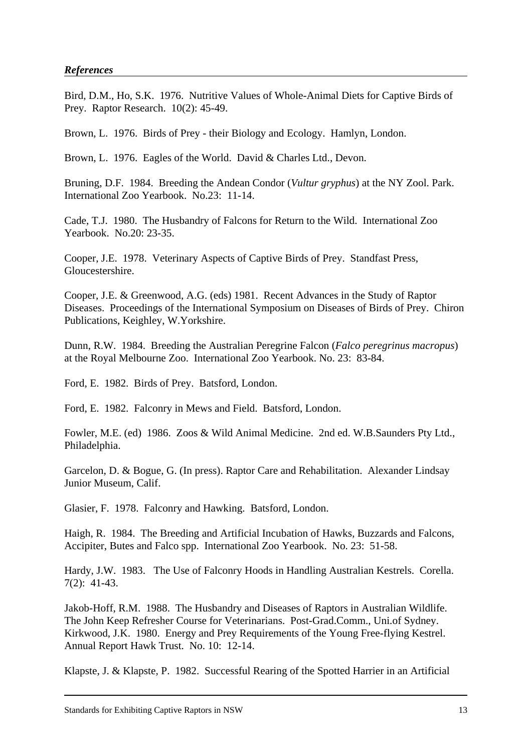#### *References*

Bird, D.M., Ho, S.K. 1976. Nutritive Values of Whole-Animal Diets for Captive Birds of Prey. Raptor Research. 10(2): 45-49.

Brown, L. 1976. Birds of Prey - their Biology and Ecology. Hamlyn, London.

Brown, L. 1976. Eagles of the World. David & Charles Ltd., Devon.

Bruning, D.F. 1984. Breeding the Andean Condor (*Vultur gryphus*) at the NY Zool. Park. International Zoo Yearbook. No.23: 11-14.

Cade, T.J. 1980. The Husbandry of Falcons for Return to the Wild. International Zoo Yearbook. No.20: 23-35.

Cooper, J.E. 1978. Veterinary Aspects of Captive Birds of Prey. Standfast Press, Gloucestershire.

Cooper, J.E. & Greenwood, A.G. (eds) 1981. Recent Advances in the Study of Raptor Diseases. Proceedings of the International Symposium on Diseases of Birds of Prey. Chiron Publications, Keighley, W.Yorkshire.

Dunn, R.W. 1984. Breeding the Australian Peregrine Falcon (*Falco peregrinus macropus*) at the Royal Melbourne Zoo. International Zoo Yearbook. No. 23: 83-84.

Ford, E. 1982. Birds of Prey. Batsford, London.

Ford, E. 1982. Falconry in Mews and Field. Batsford, London.

Fowler, M.E. (ed) 1986. Zoos & Wild Animal Medicine. 2nd ed. W.B.Saunders Pty Ltd., Philadelphia.

Garcelon, D. & Bogue, G. (In press). Raptor Care and Rehabilitation. Alexander Lindsay Junior Museum, Calif.

Glasier, F. 1978. Falconry and Hawking. Batsford, London.

Haigh, R. 1984. The Breeding and Artificial Incubation of Hawks, Buzzards and Falcons, Accipiter, Butes and Falco spp. International Zoo Yearbook. No. 23: 51-58.

Hardy, J.W. 1983. The Use of Falconry Hoods in Handling Australian Kestrels. Corella. 7(2): 41-43.

Jakob-Hoff, R.M. 1988. The Husbandry and Diseases of Raptors in Australian Wildlife. The John Keep Refresher Course for Veterinarians. Post-Grad.Comm., Uni.of Sydney. Kirkwood, J.K. 1980. Energy and Prey Requirements of the Young Free-flying Kestrel. Annual Report Hawk Trust. No. 10: 12-14.

Klapste, J. & Klapste, P. 1982. Successful Rearing of the Spotted Harrier in an Artificial